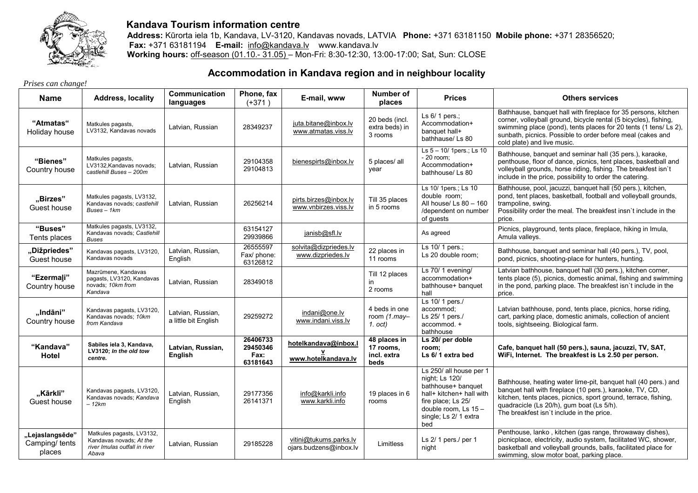

## **Kandava Tourism information centre**

 **Address:** Kūrorta iela 1b, Kandava, LV-3120, Kandavas novads, LATVIA **Phone:** +371 63181150 **Mobile phone:** +371 28356520; **Fax:** +371 63181194 **E-mail:** info@kandava.lv www.kandava.lv **Working hours:** off-season (01.10.- 31.05) – Mon-Fri: 8:30-12:30, 13:00-17:00; Sat, Sun: CLOSE

## **Accommodation in Kandava region and in neighbour locality**

*Prises can change!* 

| <b>Name</b>                                 | <b>Address, locality</b>                                                                       | <b>Communication</b><br>languages         | Phone, fax<br>$(+371)$                   | E-mail, www                                      | Number of<br>places                              | <b>Prices</b>                                                                                                                                                             | <b>Others services</b>                                                                                                                                                                                                                                                                              |
|---------------------------------------------|------------------------------------------------------------------------------------------------|-------------------------------------------|------------------------------------------|--------------------------------------------------|--------------------------------------------------|---------------------------------------------------------------------------------------------------------------------------------------------------------------------------|-----------------------------------------------------------------------------------------------------------------------------------------------------------------------------------------------------------------------------------------------------------------------------------------------------|
| "Atmatas"<br>Holiday house                  | Matkules pagasts,<br>LV3132, Kandavas novads                                                   | Latvian, Russian                          | 28349237                                 | juta.bitane@inbox.lv<br>www.atmatas.viss.lv      | 20 beds (incl.<br>extra beds) in<br>3 rooms      | Ls 6/ 1 pers.;<br>Accommodation+<br>banquet hall+<br>bathhause/Ls 80                                                                                                      | Bathhause, banquet hall with fireplace for 35 persons, kitchen<br>corner, volleyball ground, bicycle rental (5 bicycles), fishing,<br>swimming place (pond), tents places for 20 tents (1 tens/ Ls 2),<br>sunbath, picnics. Possible to order before meal (cakes and<br>cold plate) and live music. |
| "Bienes"<br>Country house                   | Matkules pagasts,<br>LV3132, Kandavas novads;<br>castlehill Buses - 200m                       | Latvian, Russian                          | 29104358<br>29104813                     | bienespirts@inbox.lv                             | 5 places/ all<br>vear                            | Ls 5 - 10/ 1 pers.; Ls 10<br>$-20$ room;<br>Accommodation+<br>bathhouse/ Ls 80                                                                                            | Bathhouse, banquet and seminar hall (35 pers.), karaoke,<br>penthouse, floor of dance, picnics, tent places, basketball and<br>volleyball grounds, horse riding, fishing. The breakfest isn't<br>include in the price, possibility to order the catering.                                           |
| "Birzes"<br>Guest house                     | Matkules pagasts, LV3132,<br>Kandavas novads; castlehill<br>$Buses - 1km$                      | Latvian, Russian                          | 26256214                                 | pirts.birzes@inbox.lv<br>www.vnbirzes.viss.lv    | Till 35 places<br>in 5 rooms                     | Ls 10/ 1pers.; Ls 10<br>double room:<br>All house/ Ls 80 - 160<br>/dependent on number<br>of guests                                                                       | Bathhouse, pool, jacuzzi, banquet hall (50 pers.), kitchen,<br>pond, tent places, basketball, football and volleyball grounds,<br>trampoline, swing.<br>Possibility order the meal. The breakfest insn't include in the<br>price.                                                                   |
| "Buses"<br>Tents places                     | Matkules pagasts, LV3132,<br>Kandavas novads; Castlehill<br><b>Buses</b>                       |                                           | 63154127<br>29939866                     | janisb@sfl.lv                                    |                                                  | As agreed                                                                                                                                                                 | Picnics, playground, tents place, fireplace, hiking in Imula,<br>Amula valleys.                                                                                                                                                                                                                     |
| "Dižpriedes"<br>Guest house                 | Kandavas pagasts, LV3120,<br>Kandavas novads                                                   | Latvian, Russian,<br>English              | 26555597<br>Fax/ phone:<br>63126812      | solvita@dizpriedes.lv<br>www.dizpriedes.lv       | 22 places in<br>11 rooms                         | Ls 10/ 1 pers.;<br>Ls 20 double room;                                                                                                                                     | Bathhouse, banquet and seminar hall (40 pers.), TV, pool,<br>pond, picnics, shooting-place for hunters, hunting.                                                                                                                                                                                    |
| "Ezermali"<br>Country house                 | Mazrūmene, Kandavas<br>pagasts, LV3120, Kandavas<br>novads; 10km from<br>Kandava               | Latvian, Russian                          | 28349018                                 |                                                  | Till 12 places<br>in<br>2 rooms                  | Ls 70/1 evening/<br>accommodation+<br>bathhouse+ banquet<br>hall                                                                                                          | Latvian bathhouse, banquet hall (30 pers.), kitchen corner,<br>tents place (5), picnics, domestic animal, fishing and swimming<br>in the pond, parking place. The breakfest isn't include in the<br>price.                                                                                          |
| "Indāni"<br>Country house                   | Kandavas pagasts, LV3120,<br>Kandavas novads; 10km<br>from Kandava                             | Latvian, Russian,<br>a little bit English | 29259272                                 | indani@one.lv<br>www.indani.viss.lv              | 4 beds in one<br>room $(1$ .may-<br>1. oct)      | Ls 10/ 1 pers./<br>accommod;<br>Ls 25/ 1 pers./<br>accommod. +<br>bathhouse                                                                                               | Latvian bathhouse, pond, tents place, picnics, horse riding,<br>cart, parking place, domestic animals, collection of ancient<br>tools, sightseeing. Biological farm.                                                                                                                                |
| "Kandava"<br>Hotel                          | Sabiles iela 3, Kandava,<br>LV3120; In the old tow<br>centre.                                  | Latvian, Russian,<br>English              | 26406733<br>29450346<br>Fax:<br>63181643 | hotelkandava@inbox.l<br>www.hotelkandava.lv      | 48 places in<br>17 rooms,<br>incl. extra<br>beds | Ls 20/ per doble<br>room;<br>Ls 6/1 extra bed                                                                                                                             | Cafe, banquet hall (50 pers.), sauna, jacuzzi, TV, SAT,<br>WiFi, Internet. The breakfest is Ls 2.50 per person.                                                                                                                                                                                     |
| "Kārkli"<br>Guest house                     | Kandavas pagasts, LV3120,<br>Kandavas novads; Kandava<br>– 12km                                | Latvian, Russian,<br>English              | 29177356<br>26141371                     | info@karkli.info<br>www.karkli.info              | 19 places in 6<br>rooms                          | Ls 250/ all house per 1<br>night; Ls 120/<br>bathhouse+ banquet<br>hall+ kitchen+ hall with<br>fire place; Ls 25/<br>double room, Ls 15 -<br>single; Ls 2/ 1 extra<br>bed | Bathhouse, heating water lime-pit, banquet hall (40 pers.) and<br>banquet hall with fireplace (10 pers.), karaoke, TV, CD,<br>kitchen, tents places, picnics, sport ground, terrace, fishing,<br>quadracicle (Ls 20/h), gum boat (Ls 5/h).<br>The breakfest isn't include in the price.             |
| "Lejaslangsēde"<br>Camping/ tents<br>places | Matkules pagasts, LV3132,<br>Kandavas novads; At the<br>river Imulas outfall in river<br>Abava | Latvian, Russian                          | 29185228                                 | vitini@tukums.parks.lv<br>ojars.budzens@inbox.lv | Limitless                                        | Ls $2/1$ pers./ per 1<br>night                                                                                                                                            | Penthouse, lanko, kitchen (gas range, throwaway dishes),<br>picnicplace, electricity, audio system, facilitated WC, shower,<br>basketball and volleyball grounds, balls, facilitated place for<br>swimming, slow motor boat, parking place.                                                         |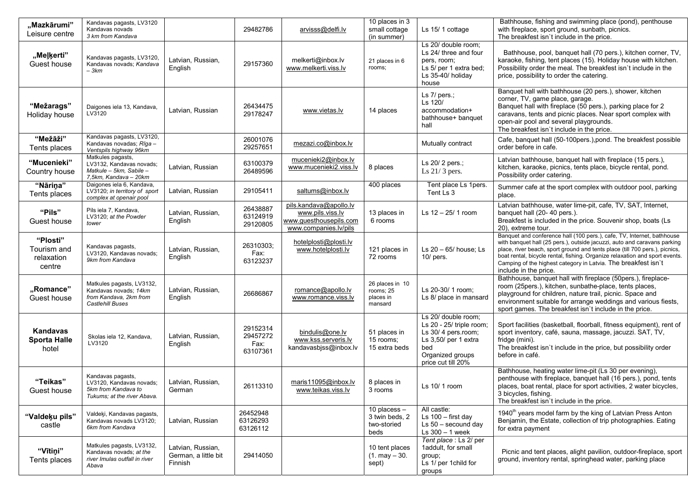| "Mazkārumi"<br>Leisure centre                   | Kandavas pagasts, LV3120<br>Kandavas novads<br>3 km from Kandava                                        |                                                      | 29482786                                 | arvisss@delfi.lv                                                                              | 10 places in 3<br>small cottage<br>(in summer)          | Ls 15/1 cottage                                                                                                                                | Bathhouse, fishing and swimming place (pond), penthouse<br>with fireplace, sport ground, sunbath, picnics.<br>The breakfest isn't include in the price.                                                                                                                                                                                                                                                     |
|-------------------------------------------------|---------------------------------------------------------------------------------------------------------|------------------------------------------------------|------------------------------------------|-----------------------------------------------------------------------------------------------|---------------------------------------------------------|------------------------------------------------------------------------------------------------------------------------------------------------|-------------------------------------------------------------------------------------------------------------------------------------------------------------------------------------------------------------------------------------------------------------------------------------------------------------------------------------------------------------------------------------------------------------|
| "Meļķerti"<br>Guest house                       | Kandavas pagasts, LV3120,<br>Kandavas novads: Kandava<br>– 3km                                          | Latvian, Russian,<br>English                         | 29157360                                 | melkerti@inbox.lv<br>www.melkerti.viss.lv                                                     | 21 places in 6<br>rooms;                                | Ls 20/ double room;<br>Ls 24/ three and four<br>pers, room;<br>Ls 5/ per 1 extra bed;<br>Ls 35-40/ holiday<br>house                            | Bathhouse, pool, banquet hall (70 pers.), kitchen corner, TV,<br>karaoke, fishing, tent places (15). Holiday house with kitchen.<br>Possibility order the meal. The breakfest isn't include in the<br>price, possibility to order the catering.                                                                                                                                                             |
| "Mežarags"<br>Holiday house                     | Daigones iela 13, Kandava,<br>LV3120                                                                    | Latvian, Russian                                     | 26434475<br>29178247                     | www.vietas.lv                                                                                 | 14 places                                               | Ls $7/$ pers.;<br>Ls 120/<br>accommodation+<br>bathhouse+ banquet<br>hall                                                                      | Banquet hall with bathhouse (20 pers.), shower, kitchen<br>corner, TV, game place, garage.<br>Banquet hall with fireplace (50 pers.), parking place for 2<br>caravans, tents and picnic places. Near sport complex with<br>open-air pool and several playgrounds.<br>The breakfest isn't include in the price.                                                                                              |
| "Mežāži"<br>Tents places                        | Kandavas pagasts, LV3120,<br>Kandavas novadas; Rīga -<br>Ventspils highway 96km                         |                                                      | 26001076<br>29257651                     | mezazi.co@inbox.lv                                                                            |                                                         | Mutually contract                                                                                                                              | Cafe, banquet hall (50-100 pers.), pond. The breakfest possible<br>order before in cafe.                                                                                                                                                                                                                                                                                                                    |
| "Mucenieki"<br>Country house                    | Matkules pagasts,<br>LV3132, Kandavas novads;<br>Matkule - 5km, Sabile -<br>7,5km, Kandava - 20km       | Latvian, Russian                                     | 63100379<br>26489596                     | mucenieki2@inbox.lv<br>www.mucenieki2.viss.lv                                                 | 8 places                                                | Ls 20/2 pers.;<br>Ls $21/3$ pers.                                                                                                              | Latvian bathhouse, banquet hall with fireplace (15 pers.),<br>kitchen, karaoke, picnics, tents place, bicycle rental, pond.<br>Possibility order catering.                                                                                                                                                                                                                                                  |
| "Nāriņa"<br>Tents places                        | Daigones iela 6, Kandava,<br>LV3120; in territory of sport<br>complex at openair pool                   | Latvian, Russian                                     | 29105411                                 | saltums@inbox.lv                                                                              | 400 places                                              | Tent place Ls 1pers.<br>Tent Ls 3                                                                                                              | Summer cafe at the sport complex with outdoor pool, parking<br>place.                                                                                                                                                                                                                                                                                                                                       |
| "Pils"<br>Guest house                           | Pils iela 7, Kandava,<br>LV3120; at the Powder<br>tower                                                 | Latvian, Russian,<br>English                         | 26438887<br>63124919<br>29120805         | pils.kandava@apollo.lv<br>www.pils.viss.lv<br>www.guesthousepils.com<br>www.companies.lv/pils | 13 places in<br>6 rooms                                 | Ls $12 - 25/1$ room                                                                                                                            | Latvian bathhouse, water lime-pit, cafe, TV, SAT, Internet,<br>banquet hall (20-40 pers.).<br>Breakfest is included in the price. Souvenir shop, boats (Ls<br>20), extreme tour.                                                                                                                                                                                                                            |
| "Plosti"<br>Tourism and<br>relaxation<br>centre | Kandavas pagasts,<br>LV3120. Kandavas novads:<br>9km from Kandava                                       | Latvian, Russian,<br>English                         | 26310303;<br>Fax:<br>63123237            | hotelplosti@plosti.lv<br>www.hotelplosti.lv                                                   | 121 places in<br>72 rooms                               | Ls 20 - 65/ house; Ls<br>$10/$ pers.                                                                                                           | Banquet and conference hall (100 pers.), cafe, TV, Internet, bathhouse<br>with banquet hall (25 pers.), outside jacuzzi, auto and caravans parking<br>place, river beach, sport ground and tents place (till 700 pers.), picnics,<br>boat rental, bicycle rental, fishing. Organize relaxation and sport events.<br>Camping of the highest category in Latvia. The breakfest isn't<br>include in the price. |
| "Romance"<br>Guest house                        | Matkules pagasts, LV3132,<br>Kandavas novads; 14km<br>from Kandava, 2km from<br><b>Castlehill Buses</b> | Latvian, Russian,<br>English                         | 26686867                                 | romance@apollo.lv<br>www.romance.viss.lv                                                      | 26 places in 10<br>rooms; 25<br>places in<br>mansard    | Ls 20-30/ 1 room;<br>Ls 8/ place in mansard                                                                                                    | Bathhouse, banquet hall with fireplace (50pers.), fireplace-<br>room (25pers.), kitchen, sunbathe-place, tents places,<br>playground for children, nature trail, picnic. Space and<br>environment suitable for arrange weddings and various fiests,<br>sport games. The breakfest isn't include in the price.                                                                                               |
| Kandavas<br><b>Sporta Halle</b><br>hotel        | Skolas iela 12, Kandava,<br>LV3120                                                                      | Latvian, Russian,<br>English                         | 29152314<br>29457272<br>Fax:<br>63107361 | bindulis@one.lv<br>www.kss.serveris.lv<br>kandavasbjss@inbox.lv                               | 51 places in<br>15 rooms;<br>15 extra beds              | Ls 20/ double room;<br>Ls 20 - 25/ triple room;<br>Ls 30/4 pers.room;<br>Ls 3,50/ per 1 extra<br>bed<br>Organized groups<br>price cut till 20% | Sport facilities (basketball, floorball, fitness equipment), rent of<br>sport inventory, café, sauna, massage, jacuzzi. SAT, TV,<br>fridge (mini).<br>The breakfest isn't include in the price, but possibility order<br>before in café.                                                                                                                                                                    |
| "Teikas"<br>Guest house                         | Kandavas pagasts,<br>LV3120, Kandavas novads;<br>5km from Kandava to<br>Tukums: at the river Abava.     | Latvian, Russian,<br>German                          | 26113310                                 | maris11095@inbox.lv<br>www.teikas.viss.lv                                                     | 8 places in<br>3 rooms                                  | Ls $10/1$ room                                                                                                                                 | Bathhouse, heating water lime-pit (Ls 30 per evening),<br>penthouse with fireplace, banquet hall (16 pers.), pond, tents<br>places, boat rental, place for sport activities, 2 water bicycles,<br>3 bicycles, fishing.<br>The breakfest isn't include in the price.                                                                                                                                         |
| "Valdeku pils"<br>castle                        | Valdeķi, Kandavas pagasts,<br>Kandavas novads LV3120;<br>6km from Kandava                               | Latvian, Russian                                     | 26452948<br>63126293<br>63126112         |                                                                                               | 10 placess $-$<br>3 twin beds, 2<br>two-storied<br>beds | All castle:<br>Ls 100 - first day<br>Ls $50 -$ secound day<br>Ls $300 - 1$ week                                                                | 1940 <sup>th</sup> years model farm by the king of Latvian Press Anton<br>Benjamin, the Estate, collection of trip photographies. Eating<br>for extra payment                                                                                                                                                                                                                                               |
| "Vītiņi"<br>Tents places                        | Matkules pagasts, LV3132,<br>Kandavas novads; at the<br>river Imulas outfall in river<br>Abava          | Latvian, Russian,<br>German, a little bit<br>Finnish | 29414050                                 |                                                                                               | 10 tent places<br>$(1. \text{may} - 30.$<br>sept)       | Tent place : Ls 2/ per<br>1addult, for small<br>group;<br>Ls 1/ per 1child for<br>groups                                                       | Picnic and tent places, alight pavilion, outdoor-fireplace, sport<br>ground, inventory rental, springhead water, parking place                                                                                                                                                                                                                                                                              |